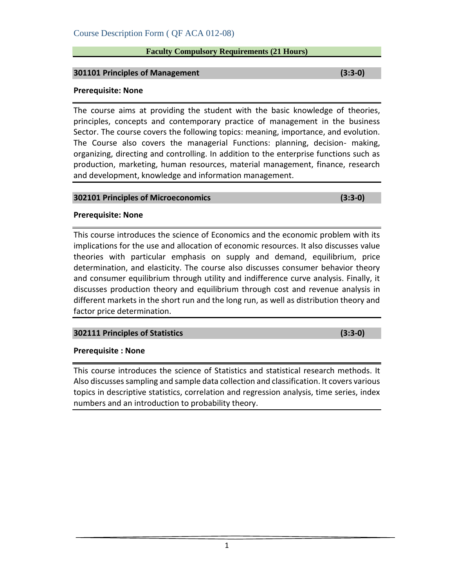# **Faculty Compulsory Requirements (21 Hours)**

# **301101 Principles of Management (3:3-0)**

#### **Prerequisite: None**

The course aims at providing the student with the basic knowledge of theories, principles, concepts and contemporary practice of management in the business Sector. The course covers the following topics: meaning, importance, and evolution. The Course also covers the managerial Functions: planning, decision- making, organizing, directing and controlling. In addition to the enterprise functions such as production, marketing, human resources, material management, finance, research and development, knowledge and information management.

# **302101 Principles of Microeconomics (3:3-0)**

# **Prerequisite: None**

This course introduces the science of Economics and the economic problem with its implications for the use and allocation of economic resources. It also discusses value theories with particular emphasis on supply and demand, equilibrium, price determination, and elasticity. The course also discusses consumer behavior theory and consumer equilibrium through utility and indifference curve analysis. Finally, it discusses production theory and equilibrium through cost and revenue analysis in different markets in the short run and the long run, as well as distribution theory and factor price determination.

# **302111 Principles of Statistics (3:3-0)**

# **Prerequisite : None**

This course introduces the science of Statistics and statistical research methods. It Also discusses sampling and sample data collection and classification. It covers various topics in descriptive statistics, correlation and regression analysis, time series, index numbers and an introduction to probability theory.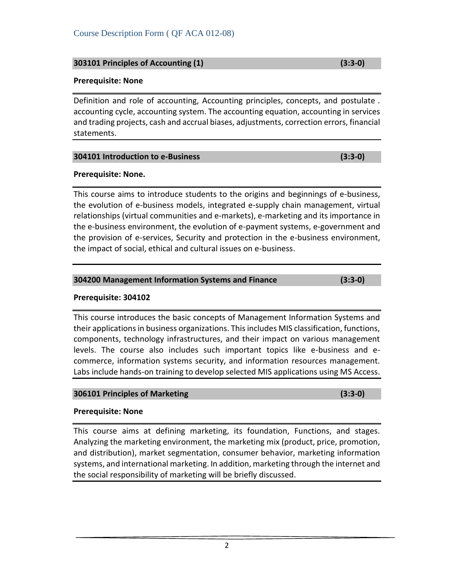# **303101 Principles of Accounting (1) (3:3-0)**

# **Prerequisite: None**

Definition and role of accounting, Accounting principles, concepts, and postulate . accounting cycle, accounting system. The accounting equation, accounting in services and trading projects, cash and accrual biases, adjustments, correction errors, financial statements.

# **304101 Introduction to e-Business (3:3-0)**

#### **Prerequisite: None.**

This course aims to introduce students to the origins and beginnings of e-business, the evolution of e-business models, integrated e-supply chain management, virtual relationships (virtual communities and e-markets), e-marketing and its importance in the e-business environment, the evolution of e-payment systems, e-government and the provision of e-services, Security and protection in the e-business environment, the impact of social, ethical and cultural issues on e-business.

#### **304200 Management Information Systems and Finance (3:3-0)**

#### **Prerequisite: 304102**

This course introduces the basic concepts of Management Information Systems and their applications in business organizations. This includes MIS classification, functions, components, technology infrastructures, and their impact on various management levels. The course also includes such important topics like e-business and ecommerce, information systems security, and information resources management. Labs include hands-on training to develop selected MIS applications using MS Access.

#### **306101 Principles of Marketing (3:3-0)**

# **Prerequisite: None**

This course aims at defining marketing, its foundation, Functions, and stages. Analyzing the marketing environment, the marketing mix (product, price, promotion, and distribution), market segmentation, consumer behavior, marketing information systems, and international marketing. In addition, marketing through the internet and the social responsibility of marketing will be briefly discussed.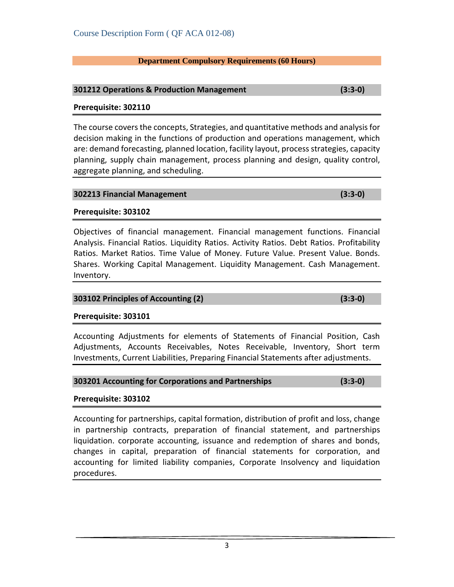# **Department Compulsory Requirements (60 Hours)**

# **301212 Operations & Production Management (3:3-0)**

# **Prerequisite: 302110**

The course covers the concepts, Strategies, and quantitative methods and analysis for decision making in the functions of production and operations management, which are: demand forecasting, planned location, facility layout, process strategies, capacity planning, supply chain management, process planning and design, quality control, aggregate planning, and scheduling.

#### **302213 Financial Management (3:3-0)**

# **Prerequisite: 303102**

Objectives of financial management. Financial management functions. Financial Analysis. Financial Ratios. Liquidity Ratios. Activity Ratios. Debt Ratios. Profitability Ratios. Market Ratios. Time Value of Money. Future Value. Present Value. Bonds. Shares. Working Capital Management. Liquidity Management. Cash Management. Inventory.

#### **303102 Principles of Accounting (2) (3:3-0)**

# **Prerequisite: 303101**

Accounting Adjustments for elements of Statements of Financial Position, Cash Adjustments, Accounts Receivables, Notes Receivable, Inventory, Short term Investments, Current Liabilities, Preparing Financial Statements after adjustments.

# **303201 Accounting for Corporations and Partnerships (3:3-0)**

# **Prerequisite: 303102**

Accounting for partnerships, capital formation, distribution of profit and loss, change in partnership contracts, preparation of financial statement, and partnerships liquidation. corporate accounting, issuance and redemption of shares and bonds, changes in capital, preparation of financial statements for corporation, and accounting for limited liability companies, Corporate Insolvency and liquidation procedures.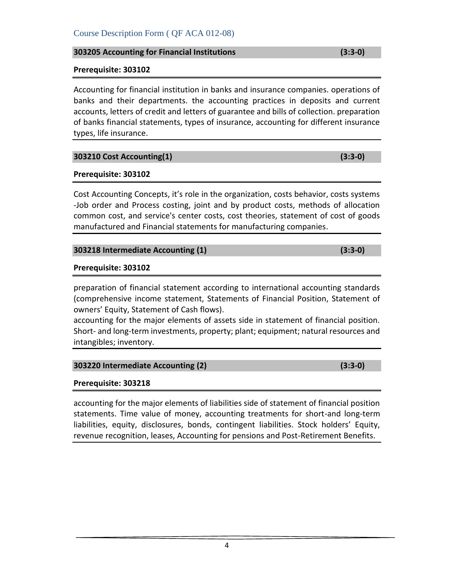# **303205 Accounting for Financial Institutions (3:3-0)**

#### **Prerequisite: 303102**

Accounting for financial institution in banks and insurance companies. operations of banks and their departments. the accounting practices in deposits and current accounts, letters of credit and letters of guarantee and bills of collection. preparation of banks financial statements, types of insurance, accounting for different insurance types, life insurance.

# **303210 Cost Accounting(1) (3:3-0)**

# **Prerequisite: 303102**

Cost Accounting Concepts, it's role in the organization, costs behavior, costs systems -Job order and Process costing, joint and by product costs, methods of allocation common cost, and service's center costs, cost theories, statement of cost of goods manufactured and Financial statements for manufacturing companies.

# **303218 Intermediate Accounting (1) (3:3-0)**

#### **Prerequisite: 303102**

preparation of financial statement according to international accounting standards (comprehensive income statement, Statements of Financial Position, Statement of owners' Equity, Statement of Cash flows).

accounting for the major elements of assets side in statement of financial position. Short- and long-term investments, property; plant; equipment; natural resources and intangibles; inventory.

# **303220 Intermediate Accounting (2) (3:3-0)**

# **Prerequisite: 303218**

accounting for the major elements of liabilities side of statement of financial position statements. Time value of money, accounting treatments for short-and long-term liabilities, equity, disclosures, bonds, contingent liabilities. Stock holders' Equity, revenue recognition, leases, Accounting for pensions and Post-Retirement Benefits.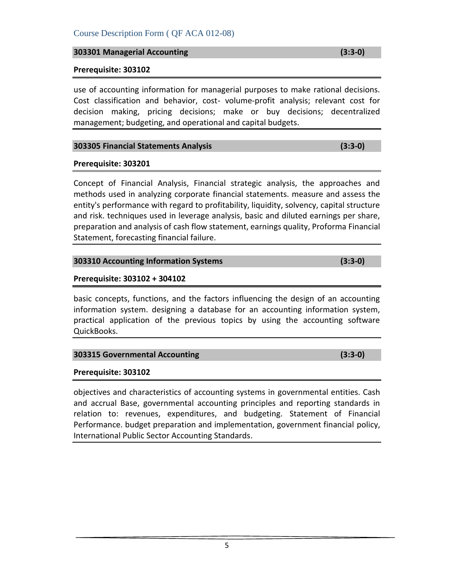# **303301 Managerial Accounting (3:3-0)**

# **Prerequisite: 303102**

use of accounting information for managerial purposes to make rational decisions. Cost classification and behavior, cost- volume-profit analysis; relevant cost for decision making, pricing decisions; make or buy decisions; decentralized management; budgeting, and operational and capital budgets.

# **303305 Financial Statements Analysis (3:3-0)**

# **Prerequisite: 303201**

Concept of Financial Analysis, Financial strategic analysis, the approaches and methods used in analyzing corporate financial statements. measure and assess the entity's performance with regard to profitability, liquidity, solvency, capital structure and risk. techniques used in leverage analysis, basic and diluted earnings per share, preparation and analysis of cash flow statement, earnings quality, Proforma Financial Statement, forecasting financial failure.

# **303310 Accounting Information Systems (3:3-0)**

# **Prerequisite: 303102 + 304102**

basic concepts, functions, and the factors influencing the design of an accounting information system. designing a database for an accounting information system, practical application of the previous topics by using the accounting software QuickBooks.

# **303315 Governmental Accounting (3:3-0)**

# **Prerequisite: 303102**

objectives and characteristics of accounting systems in governmental entities. Cash and accrual Base, governmental accounting principles and reporting standards in relation to: revenues, expenditures, and budgeting. Statement of Financial Performance. budget preparation and implementation, government financial policy, International Public Sector Accounting Standards.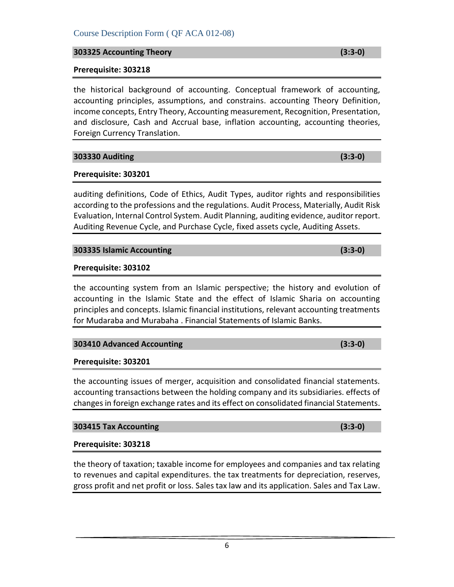# **303325 Accounting Theory (3:3-0)**

# **Prerequisite: 303218**

the historical background of accounting. Conceptual framework of accounting, accounting principles, assumptions, and constrains. accounting Theory Definition, income concepts, Entry Theory, Accounting measurement, Recognition, Presentation, and disclosure, Cash and Accrual base, inflation accounting, accounting theories, Foreign Currency Translation.

**303330 Auditing (3:3-0)**

# **Prerequisite: 303201**

auditing definitions, Code of Ethics, Audit Types, auditor rights and responsibilities according to the professions and the regulations. Audit Process, Materially, Audit Risk Evaluation, Internal Control System. Audit Planning, auditing evidence, auditor report. Auditing Revenue Cycle, and Purchase Cycle, fixed assets cycle, Auditing Assets.

# **303335 Islamic Accounting (3:3-0)**

# **Prerequisite: 303102**

the accounting system from an Islamic perspective; the history and evolution of accounting in the Islamic State and the effect of Islamic Sharia on accounting principles and concepts. Islamic financial institutions, relevant accounting treatments for Mudaraba and Murabaha . Financial Statements of Islamic Banks.

# **303410 Advanced Accounting (3:3-0)**

# **Prerequisite: 303201**

the accounting issues of merger, acquisition and consolidated financial statements. accounting transactions between the holding company and its subsidiaries. effects of changes in foreign exchange rates and its effect on consolidated financial Statements.

# **303415 Tax Accounting (3:3-0)**

# **Prerequisite: 303218**

the theory of taxation; taxable income for employees and companies and tax relating to revenues and capital expenditures. the tax treatments for depreciation, reserves, gross profit and net profit or loss. Sales tax law and its application. Sales and Tax Law.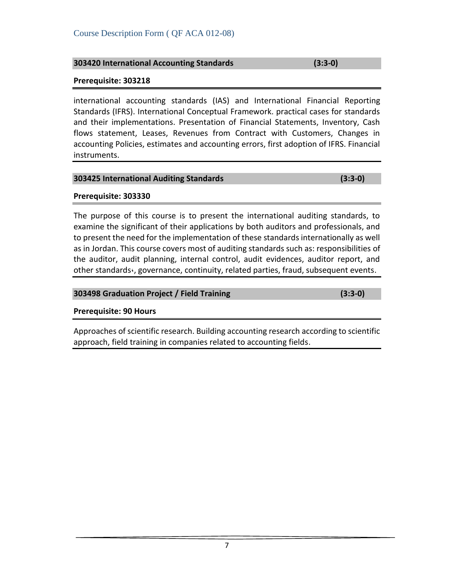**303498 Graduation Project / Field Training (3:3-0)**

**Prerequisite: 90 Hours**

Approaches of scientific research. Building accounting research according to scientific approach, field training in companies related to accounting fields.

# **303425 International Auditing Standards (3:3-0)**

# **Prerequisite: 303330**

The purpose of this course is to present the international auditing standards, to examine the significant of their applications by both auditors and professionals, and to present the need for the implementation of these standards internationally as well as in Jordan. This course covers most of auditing standards such as: responsibilities of the auditor, audit planning, internal control, audit evidences, auditor report, and other standards،, governance, continuity, related parties, fraud, subsequent events.

# Course Description Form ( QF ACA 012-08)

# **Prerequisite: 303218**

international accounting standards (IAS) and International Financial Reporting Standards (IFRS). International Conceptual Framework. practical cases for standards and their implementations. Presentation of Financial Statements, Inventory, Cash flows statement, Leases, Revenues from Contract with Customers, Changes in accounting Policies, estimates and accounting errors, first adoption of IFRS. Financial instruments.

**303420 International Accounting Standards (3:3-0)**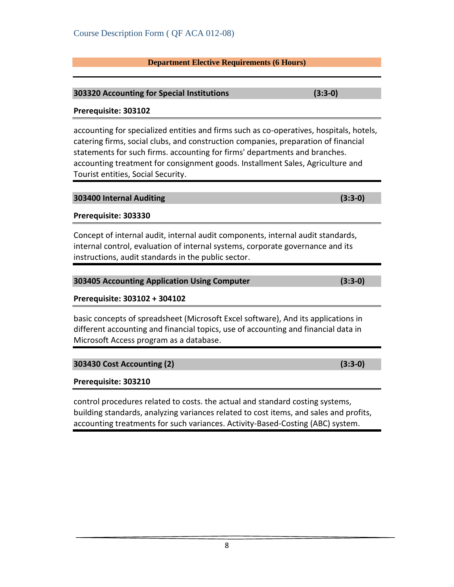# **Department Elective Requirements (6 Hours)**

# **303320 Accounting for Special Institutions (3:3-0)**

# **Prerequisite: 303102**

accounting for specialized entities and firms such as co-operatives, hospitals, hotels, catering firms, social clubs, and construction companies, preparation of financial statements for such firms. accounting for firms' departments and branches. accounting treatment for consignment goods. Installment Sales, Agriculture and Tourist entities, Social Security.

#### **303400 Internal Auditing (3:3-0)**

# **Prerequisite: 303330**

Concept of internal audit, internal audit components, internal audit standards, internal control, evaluation of internal systems, corporate governance and its instructions, audit standards in the public sector.

| 303405 Accounting Application Using Computer | $(3:3-0)$ |
|----------------------------------------------|-----------|
|                                              |           |

# **Prerequisite: 303102 + 304102**

basic concepts of spreadsheet (Microsoft Excel software), And its applications in different accounting and financial topics, use of accounting and financial data in Microsoft Access program as a database.

# **303430 Cost Accounting (2) (3:3-0)**

# **Prerequisite: 303210**

control procedures related to costs. the actual and standard costing systems, building standards, analyzing variances related to cost items, and sales and profits, accounting treatments for such variances. Activity-Based-Costing (ABC) system.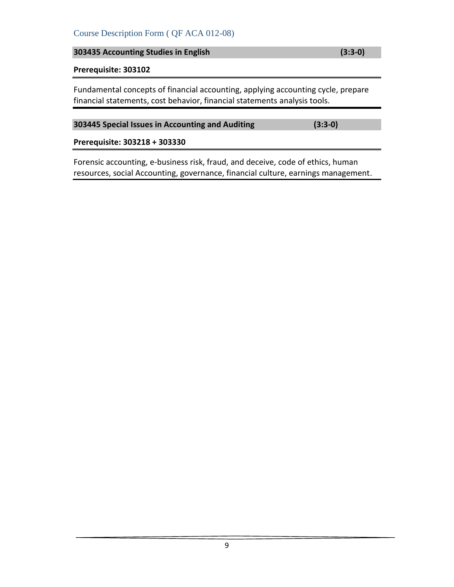# Course Description Form ( QF ACA 012-08)

**303435 Accounting Studies in English (3:3-0)**

# **Prerequisite: 303102**

Fundamental concepts of financial accounting, applying accounting cycle, prepare financial statements, cost behavior, financial statements analysis tools.

# **303445 Special Issues in Accounting and Auditing (3:3-0)**

#### **Prerequisite: 303218 + 303330**

Forensic accounting, e-business risk, fraud, and deceive, code of ethics, human resources, social Accounting, governance, financial culture, earnings management.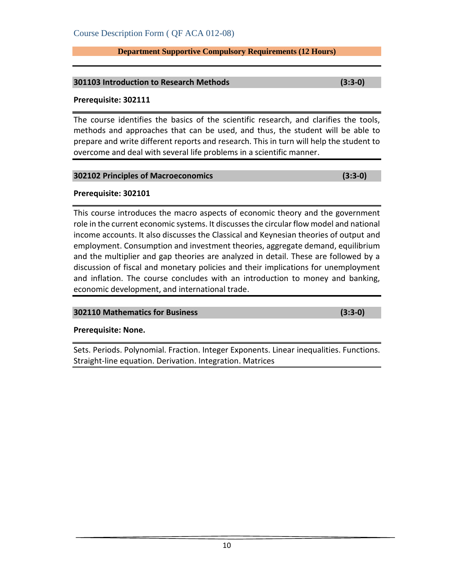#### **Department Supportive Compulsory Requirements (12 Hours)**

#### **301103 Introduction to Research Methods (3:3-0)**

#### **Prerequisite: 302111**

The course identifies the basics of the scientific research, and clarifies the tools, methods and approaches that can be used, and thus, the student will be able to prepare and write different reports and research. This in turn will help the student to overcome and deal with several life problems in a scientific manner.

#### **302102 Principles of Macroeconomics (3:3-0)**

# **Prerequisite: 302101**

This course introduces the macro aspects of economic theory and the government role in the current economic systems. It discusses the circular flow model and national income accounts. It also discusses the Classical and Keynesian theories of output and employment. Consumption and investment theories, aggregate demand, equilibrium and the multiplier and gap theories are analyzed in detail. These are followed by a discussion of fiscal and monetary policies and their implications for unemployment and inflation. The course concludes with an introduction to money and banking, economic development, and international trade.

# **302110 Mathematics for Business (3:3-0)**

# **Prerequisite: None.**

Sets. Periods. Polynomial. Fraction. Integer Exponents. Linear inequalities. Functions. Straight-line equation. Derivation. Integration. Matrices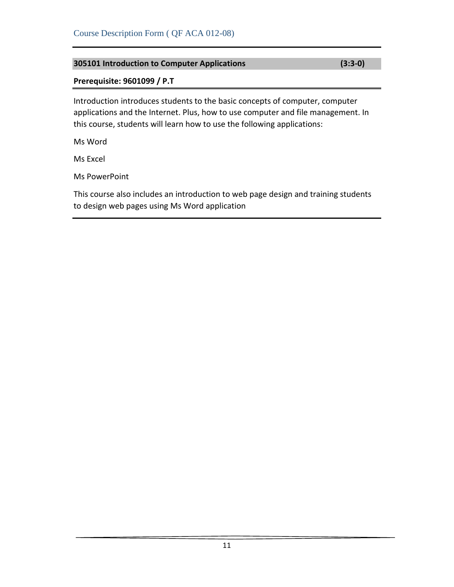# **305101 Introduction to Computer Applications (3:3-0)**

# **Prerequisite: 9601099 / P.T**

Introduction introduces students to the basic concepts of computer, computer applications and the Internet. Plus, how to use computer and file management. In this course, students will learn how to use the following applications:

Ms Word

Ms Excel

Ms PowerPoint

This course also includes an introduction to web page design and training students to design web pages using Ms Word application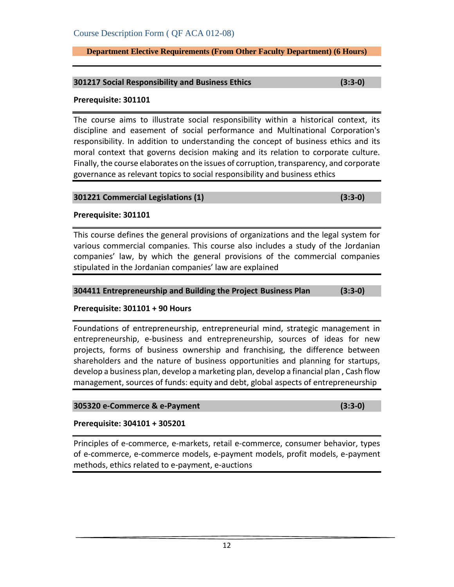**Department Elective Requirements (From Other Faculty Department) (6 Hours)**

#### **301217 Social Responsibility and Business Ethics (3:3-0)**

#### **Prerequisite: 301101**

The course aims to illustrate social responsibility within a historical context, its discipline and easement of social performance and Multinational Corporation's responsibility. In addition to understanding the concept of business ethics and its moral context that governs decision making and its relation to corporate culture. Finally, the course elaborates on the issues of corruption, transparency, and corporate governance as relevant topics to social responsibility and business ethics

#### **301221 Commercial Legislations (1) (3:3-0)**

#### **Prerequisite: 301101**

This course defines the general provisions of organizations and the legal system for various commercial companies. This course also includes a study of the Jordanian companies' law, by which the general provisions of the commercial companies stipulated in the Jordanian companies' law are explained

#### **304411 Entrepreneurship and Building the Project Business Plan (3:3-0)**

# **Prerequisite: 301101 + 90 Hours**

Foundations of entrepreneurship, entrepreneurial mind, strategic management in entrepreneurship, e-business and entrepreneurship, sources of ideas for new projects, forms of business ownership and franchising, the difference between shareholders and the nature of business opportunities and planning for startups, develop a business plan, develop a marketing plan, develop a financial plan , Cash flow management, sources of funds: equity and debt, global aspects of entrepreneurship

# **305320 e-Commerce & e-Payment (3:3-0)**

# **Prerequisite: 304101 + 305201**

Principles of e-commerce, e-markets, retail e-commerce, consumer behavior, types of e-commerce, e-commerce models, e-payment models, profit models, e-payment methods, ethics related to e-payment, e-auctions